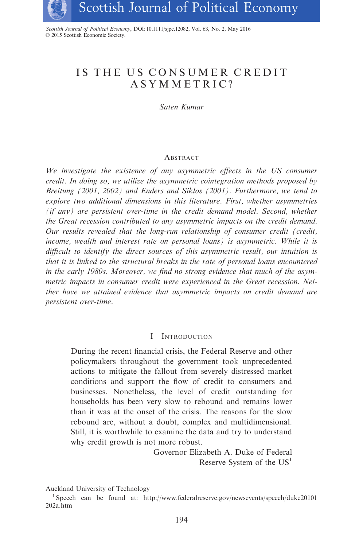

Scottish Journal of Political Economy, DOI: 10.1111/sjpe.12082, Vol. 63, No. 2, May 2016 © 2015 Scottish Economic Society.

# IS THE US CONSUMER CREDIT ASYMMETRIC?

Saten Kumar

# **ABSTRACT**

We investigate the existence of any asymmetric effects in the US consumer credit. In doing so, we utilize the asymmetric cointegration methods proposed by Breitung (2001, 2002) and Enders and Siklos (2001). Furthermore, we tend to explore two additional dimensions in this literature. First, whether asymmetries (if any) are persistent over-time in the credit demand model. Second, whether the Great recession contributed to any asymmetric impacts on the credit demand. Our results revealed that the long-run relationship of consumer credit (credit, income, wealth and interest rate on personal loans) is asymmetric. While it is difficult to identify the direct sources of this asymmetric result, our intuition is that it is linked to the structural breaks in the rate of personal loans encountered in the early 1980s. Moreover, we find no strong evidence that much of the asymmetric impacts in consumer credit were experienced in the Great recession. Neither have we attained evidence that asymmetric impacts on credit demand are persistent over-time.

# I INTRODUCTION

During the recent financial crisis, the Federal Reserve and other policymakers throughout the government took unprecedented actions to mitigate the fallout from severely distressed market conditions and support the flow of credit to consumers and businesses. Nonetheless, the level of credit outstanding for households has been very slow to rebound and remains lower than it was at the onset of the crisis. The reasons for the slow rebound are, without a doubt, complex and multidimensional. Still, it is worthwhile to examine the data and try to understand why credit growth is not more robust.

> Governor Elizabeth A. Duke of Federal Reserve System of the  $US<sup>1</sup>$

Auckland University of Technology

<sup>1</sup> Speech can be found at: [http://www.federalreserve.gov/newsevents/speech/duke20101](http://www.federalreserve.gov/newsevents/speech/duke20101202a.htm) [202a.htm](http://www.federalreserve.gov/newsevents/speech/duke20101202a.htm)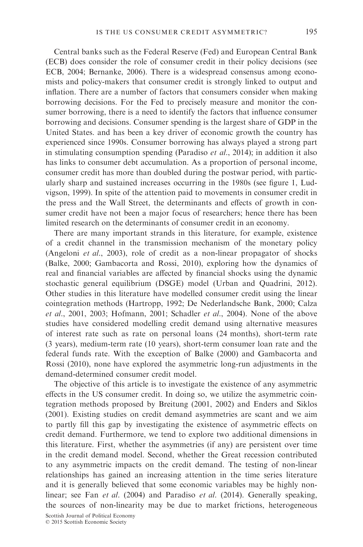Central banks such as the Federal Reserve (Fed) and European Central Bank (ECB) does consider the role of consumer credit in their policy decisions (see ECB, 2004; Bernanke, 2006). There is a widespread consensus among economists and policy-makers that consumer credit is strongly linked to output and inflation. There are a number of factors that consumers consider when making borrowing decisions. For the Fed to precisely measure and monitor the consumer borrowing, there is a need to identify the factors that influence consumer borrowing and decisions. Consumer spending is the largest share of GDP in the United States. and has been a key driver of economic growth the country has experienced since 1990s. Consumer borrowing has always played a strong part in stimulating consumption spending (Paradiso et al., 2014); in addition it also has links to consumer debt accumulation. As a proportion of personal income, consumer credit has more than doubled during the postwar period, with particularly sharp and sustained increases occurring in the 1980s (see figure 1, Ludvigson, 1999). In spite of the attention paid to movements in consumer credit in the press and the Wall Street, the determinants and effects of growth in consumer credit have not been a major focus of researchers; hence there has been limited research on the determinants of consumer credit in an economy.

There are many important strands in this literature, for example, existence of a credit channel in the transmission mechanism of the monetary policy (Angeloni et al., 2003), role of credit as a non-linear propagator of shocks (Balke, 2000; Gambacorta and Rossi, 2010), exploring how the dynamics of real and financial variables are affected by financial shocks using the dynamic stochastic general equilibrium (DSGE) model (Urban and Quadrini, 2012). Other studies in this literature have modelled consumer credit using the linear cointegration methods (Hartropp, 1992; De Nederlandsche Bank, 2000; Calza et al., 2001, 2003; Hofmann, 2001; Schadler et al., 2004). None of the above studies have considered modelling credit demand using alternative measures of interest rate such as rate on personal loans (24 months), short-term rate (3 years), medium-term rate (10 years), short-term consumer loan rate and the federal funds rate. With the exception of Balke (2000) and Gambacorta and Rossi (2010), none have explored the asymmetric long-run adjustments in the demand-determined consumer credit model.

The objective of this article is to investigate the existence of any asymmetric effects in the US consumer credit. In doing so, we utilize the asymmetric cointegration methods proposed by Breitung (2001, 2002) and Enders and Siklos (2001). Existing studies on credit demand asymmetries are scant and we aim to partly fill this gap by investigating the existence of asymmetric effects on credit demand. Furthermore, we tend to explore two additional dimensions in this literature. First, whether the asymmetries (if any) are persistent over time in the credit demand model. Second, whether the Great recession contributed to any asymmetric impacts on the credit demand. The testing of non-linear relationships has gained an increasing attention in the time series literature and it is generally believed that some economic variables may be highly nonlinear; see Fan et al. (2004) and Paradiso et al. (2014). Generally speaking, the sources of non-linearity may be due to market frictions, heterogeneous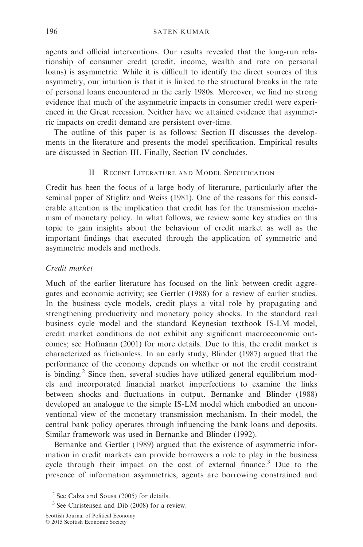agents and official interventions. Our results revealed that the long-run relationship of consumer credit (credit, income, wealth and rate on personal loans) is asymmetric. While it is difficult to identify the direct sources of this asymmetry, our intuition is that it is linked to the structural breaks in the rate of personal loans encountered in the early 1980s. Moreover, we find no strong evidence that much of the asymmetric impacts in consumer credit were experienced in the Great recession. Neither have we attained evidence that asymmetric impacts on credit demand are persistent over-time.

The outline of this paper is as follows: Section II discusses the developments in the literature and presents the model specification. Empirical results are discussed in Section III. Finally, Section IV concludes.

# II RECENT LITERATURE AND MODEL SPECIFICATION

Credit has been the focus of a large body of literature, particularly after the seminal paper of Stiglitz and Weiss (1981). One of the reasons for this considerable attention is the implication that credit has for the transmission mechanism of monetary policy. In what follows, we review some key studies on this topic to gain insights about the behaviour of credit market as well as the important findings that executed through the application of symmetric and asymmetric models and methods.

## Credit market

Much of the earlier literature has focused on the link between credit aggregates and economic activity; see Gertler (1988) for a review of earlier studies. In the business cycle models, credit plays a vital role by propagating and strengthening productivity and monetary policy shocks. In the standard real business cycle model and the standard Keynesian textbook IS-LM model, credit market conditions do not exhibit any significant macroeconomic outcomes; see Hofmann (2001) for more details. Due to this, the credit market is characterized as frictionless. In an early study, Blinder (1987) argued that the performance of the economy depends on whether or not the credit constraint is binding.<sup>2</sup> Since then, several studies have utilized general equilibrium models and incorporated financial market imperfections to examine the links between shocks and fluctuations in output. Bernanke and Blinder (1988) developed an analogue to the simple IS-LM model which embodied an unconventional view of the monetary transmission mechanism. In their model, the central bank policy operates through influencing the bank loans and deposits. Similar framework was used in Bernanke and Blinder (1992).

Bernanke and Gertler (1989) argued that the existence of asymmetric information in credit markets can provide borrowers a role to play in the business cycle through their impact on the cost of external finance.<sup>3</sup> Due to the presence of information asymmetries, agents are borrowing constrained and

Scottish Journal of Political Economy © 2015 Scottish Economic Society

<sup>2</sup> See Calza and Sousa (2005) for details.

 $3$  See Christensen and Dib (2008) for a review.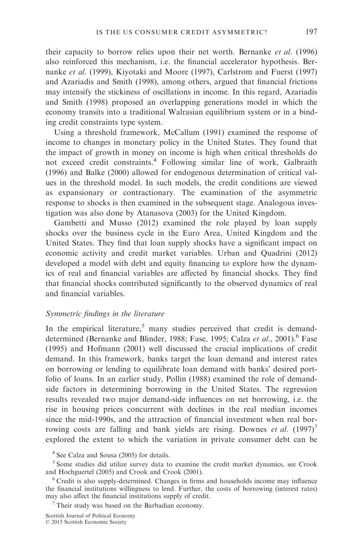their capacity to borrow relies upon their net worth. Bernanke et al. (1996) also reinforced this mechanism, i.e. the financial accelerator hypothesis. Bernanke et al. (1999), Kiyotaki and Moore (1997), Carlstrom and Fuerst (1997) and Azariadis and Smith (1998), among others, argued that financial frictions may intensify the stickiness of oscillations in income. In this regard, Azariadis and Smith (1998) proposed an overlapping generations model in which the economy transits into a traditional Walrasian equilibrium system or in a bind-

Using a threshold framework, McCallum (1991) examined the response of income to changes in monetary policy in the United States. They found that the impact of growth in money on income is high when critical thresholds do not exceed credit constraints.<sup>4</sup> Following similar line of work, Galbraith (1996) and Balke (2000) allowed for endogenous determination of critical values in the threshold model. In such models, the credit conditions are viewed as expansionary or contractionary. The examination of the asymmetric response to shocks is then examined in the subsequent stage. Analogous investigation was also done by Atanasova (2003) for the United Kingdom.

Gambetti and Musso (2012) examined the role played by loan supply shocks over the business cycle in the Euro Area, United Kingdom and the United States. They find that loan supply shocks have a significant impact on economic activity and credit market variables. Urban and Quadrini (2012) developed a model with debt and equity financing to explore how the dynamics of real and financial variables are affected by financial shocks. They find that financial shocks contributed significantly to the observed dynamics of real and financial variables.

#### Symmetric findings in the literature

ing credit constraints type system.

In the empirical literature,<sup>5</sup> many studies perceived that credit is demanddetermined (Bernanke and Blinder, 1988; Fase, 1995; Calza et al., 2001).<sup>6</sup> Fase (1995) and Hofmann (2001) well discussed the crucial implications of credit demand. In this framework, banks target the loan demand and interest rates on borrowing or lending to equilibrate loan demand with banks' desired portfolio of loans. In an earlier study, Pollin (1988) examined the role of demandside factors in determining borrowing in the United States. The regression results revealed two major demand-side influences on net borrowing, i.e. the rise in housing prices concurrent with declines in the real median incomes since the mid-1990s, and the attraction of financial investment when real borrowing costs are falling and bank yields are rising. Downes *et al.*  $(1997)^7$ explored the extent to which the variation in private consumer debt can be

<sup>4</sup> See Calza and Sousa (2005) for details.

<sup>5</sup> Some studies did utilize survey data to examine the credit market dynamics, see Crook and Hochguertel (2005) and Crook and Crook (2001).

<sup>6</sup> Credit is also supply-determined. Changes in firms and households income may influence the financial institutions willingness to lend. Further, the costs of borrowing (interest rates) may also affect the financial institutions supply of credit.

 $<sup>7</sup>$  Their study was based on the Barbadian economy.</sup>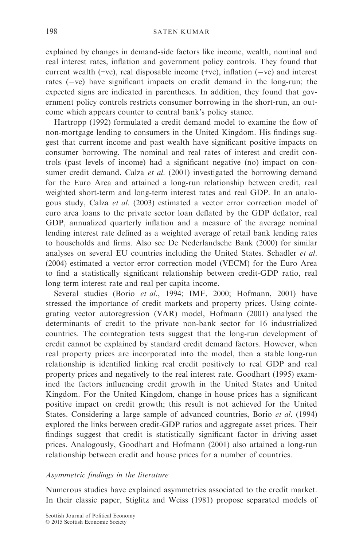explained by changes in demand-side factors like income, wealth, nominal and real interest rates, inflation and government policy controls. They found that current wealth (+ve), real disposable income (+ve), inflation ( $-ve$ ) and interest rates  $(-ve)$  have significant impacts on credit demand in the long-run; the expected signs are indicated in parentheses. In addition, they found that government policy controls restricts consumer borrowing in the short-run, an outcome which appears counter to central bank's policy stance.

Hartropp (1992) formulated a credit demand model to examine the flow of non-mortgage lending to consumers in the United Kingdom. His findings suggest that current income and past wealth have significant positive impacts on consumer borrowing. The nominal and real rates of interest and credit controls (past levels of income) had a significant negative (no) impact on consumer credit demand. Calza et al. (2001) investigated the borrowing demand for the Euro Area and attained a long-run relationship between credit, real weighted short-term and long-term interest rates and real GDP. In an analogous study, Calza et al. (2003) estimated a vector error correction model of euro area loans to the private sector loan deflated by the GDP deflator, real GDP, annualized quarterly inflation and a measure of the average nominal lending interest rate defined as a weighted average of retail bank lending rates to households and firms. Also see De Nederlandsche Bank (2000) for similar analyses on several EU countries including the United States. Schadler et al. (2004) estimated a vector error correction model (VECM) for the Euro Area to find a statistically significant relationship between credit-GDP ratio, real long term interest rate and real per capita income.

Several studies (Borio et al., 1994; IMF, 2000; Hofmann, 2001) have stressed the importance of credit markets and property prices. Using cointegrating vector autoregression (VAR) model, Hofmann (2001) analysed the determinants of credit to the private non-bank sector for 16 industrialized countries. The cointegration tests suggest that the long-run development of credit cannot be explained by standard credit demand factors. However, when real property prices are incorporated into the model, then a stable long-run relationship is identified linking real credit positively to real GDP and real property prices and negatively to the real interest rate. Goodhart (1995) examined the factors influencing credit growth in the United States and United Kingdom. For the United Kingdom, change in house prices has a significant positive impact on credit growth; this result is not achieved for the United States. Considering a large sample of advanced countries, Borio et al. (1994) explored the links between credit-GDP ratios and aggregate asset prices. Their findings suggest that credit is statistically significant factor in driving asset prices. Analogously, Goodhart and Hofmann (2001) also attained a long-run relationship between credit and house prices for a number of countries.

# Asymmetric findings in the literature

Numerous studies have explained asymmetries associated to the credit market. In their classic paper, Stiglitz and Weiss (1981) propose separated models of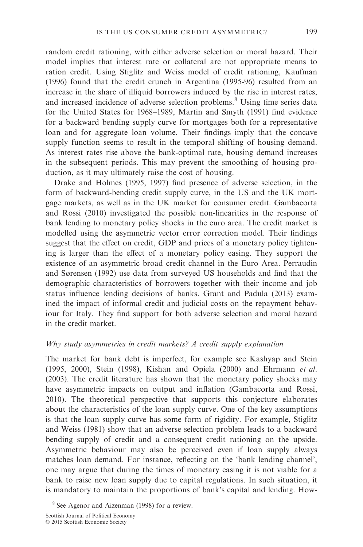random credit rationing, with either adverse selection or moral hazard. Their model implies that interest rate or collateral are not appropriate means to ration credit. Using Stiglitz and Weiss model of credit rationing, Kaufman (1996) found that the credit crunch in Argentina (1995-96) resulted from an increase in the share of illiquid borrowers induced by the rise in interest rates, and increased incidence of adverse selection problems.<sup>8</sup> Using time series data for the United States for 1968–1989, Martin and Smyth (1991) find evidence for a backward bending supply curve for mortgages both for a representative loan and for aggregate loan volume. Their findings imply that the concave supply function seems to result in the temporal shifting of housing demand. As interest rates rise above the bank-optimal rate, housing demand increases in the subsequent periods. This may prevent the smoothing of housing production, as it may ultimately raise the cost of housing.

Drake and Holmes (1995, 1997) find presence of adverse selection, in the form of backward-bending credit supply curve, in the US and the UK mortgage markets, as well as in the UK market for consumer credit. Gambacorta and Rossi (2010) investigated the possible non-linearities in the response of bank lending to monetary policy shocks in the euro area. The credit market is modelled using the asymmetric vector error correction model. Their findings suggest that the effect on credit, GDP and prices of a monetary policy tightening is larger than the effect of a monetary policy easing. They support the existence of an asymmetric broad credit channel in the Euro Area. Perraudin and Sørensen (1992) use data from surveyed US households and find that the demographic characteristics of borrowers together with their income and job status influence lending decisions of banks. Grant and Padula (2013) examined the impact of informal credit and judicial costs on the repayment behaviour for Italy. They find support for both adverse selection and moral hazard in the credit market.

## Why study asymmetries in credit markets? A credit supply explanation

The market for bank debt is imperfect, for example see Kashyap and Stein (1995, 2000), Stein (1998), Kishan and Opiela (2000) and Ehrmann et al. (2003). The credit literature has shown that the monetary policy shocks may have asymmetric impacts on output and inflation (Gambacorta and Rossi, 2010). The theoretical perspective that supports this conjecture elaborates about the characteristics of the loan supply curve. One of the key assumptions is that the loan supply curve has some form of rigidity. For example, Stiglitz and Weiss (1981) show that an adverse selection problem leads to a backward bending supply of credit and a consequent credit rationing on the upside. Asymmetric behaviour may also be perceived even if loan supply always matches loan demand. For instance, reflecting on the 'bank lending channel', one may argue that during the times of monetary easing it is not viable for a bank to raise new loan supply due to capital regulations. In such situation, it is mandatory to maintain the proportions of bank's capital and lending. How-

<sup>8</sup> See Agenor and Aizenman (1998) for a review.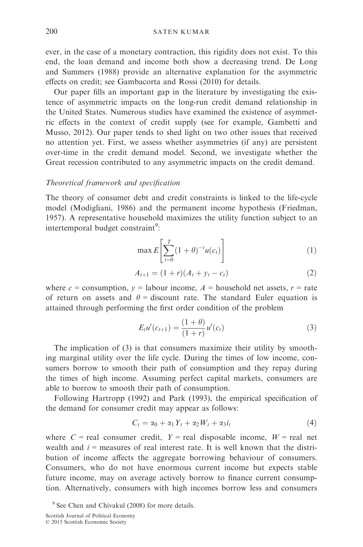ever, in the case of a monetary contraction, this rigidity does not exist. To this end, the loan demand and income both show a decreasing trend. De Long and Summers (1988) provide an alternative explanation for the asymmetric effects on credit; see Gambacorta and Rossi (2010) for details.

Our paper fills an important gap in the literature by investigating the existence of asymmetric impacts on the long-run credit demand relationship in the United States. Numerous studies have examined the existence of asymmetric effects in the context of credit supply (see for example, Gambetti and Musso, 2012). Our paper tends to shed light on two other issues that received no attention yet. First, we assess whether asymmetries (if any) are persistent over-time in the credit demand model. Second, we investigate whether the Great recession contributed to any asymmetric impacts on the credit demand.

## Theoretical framework and specification

The theory of consumer debt and credit constraints is linked to the life-cycle model (Modigliani, 1986) and the permanent income hypothesis (Friedman, 1957). A representative household maximizes the utility function subject to an intertemporal budget constraint<sup>9</sup>:

$$
\max E\left[\sum_{t=0}^{T} (1+\theta)^{-t} u(c_t)\right]
$$
 (1)

$$
A_{t+1} = (1+r)(A_t + y_t - c_t)
$$
 (2)

where c = consumption,  $y =$  labour income,  $A =$  household net assets,  $r =$  rate of return on assets and  $\theta$  = discount rate. The standard Euler equation is attained through performing the first order condition of the problem

$$
E_t u'(c_{t+1}) = \frac{(1+\theta)}{(1+r)} u'(c_t)
$$
\n(3)

The implication of (3) is that consumers maximize their utility by smoothing marginal utility over the life cycle. During the times of low income, consumers borrow to smooth their path of consumption and they repay during the times of high income. Assuming perfect capital markets, consumers are able to borrow to smooth their path of consumption.

Following Hartropp (1992) and Park (1993), the empirical specification of the demand for consumer credit may appear as follows:

$$
C_t = \alpha_0 + \alpha_1 Y_t + \alpha_2 W_t + \alpha_3 i_t \tag{4}
$$

where  $C$  = real consumer credit,  $Y$  = real disposable income,  $W$  = real net wealth and  $i$  = measures of real interest rate. It is well known that the distribution of income affects the aggregate borrowing behaviour of consumers. Consumers, who do not have enormous current income but expects stable future income, may on average actively borrow to finance current consumption. Alternatively, consumers with high incomes borrow less and consumers

Scottish Journal of Political Economy © 2015 Scottish Economic Society

<sup>&</sup>lt;sup>9</sup> See Chen and Chivakul (2008) for more details.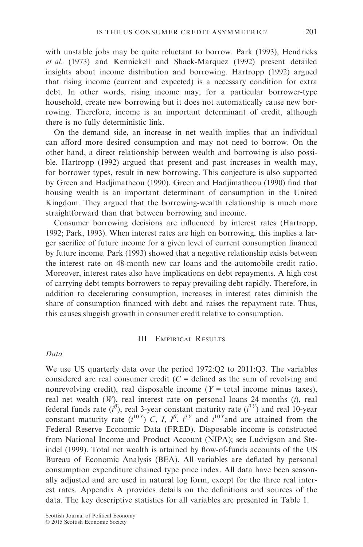with unstable jobs may be quite reluctant to borrow. Park (1993), Hendricks et al. (1973) and Kennickell and Shack-Marquez (1992) present detailed insights about income distribution and borrowing. Hartropp (1992) argued that rising income (current and expected) is a necessary condition for extra debt. In other words, rising income may, for a particular borrower-type household, create new borrowing but it does not automatically cause new borrowing. Therefore, income is an important determinant of credit, although there is no fully deterministic link.

On the demand side, an increase in net wealth implies that an individual can afford more desired consumption and may not need to borrow. On the other hand, a direct relationship between wealth and borrowing is also possible. Hartropp (1992) argued that present and past increases in wealth may, for borrower types, result in new borrowing. This conjecture is also supported by Green and Hadjimatheou (1990). Green and Hadjimatheou (1990) find that housing wealth is an important determinant of consumption in the United Kingdom. They argued that the borrowing-wealth relationship is much more straightforward than that between borrowing and income.

Consumer borrowing decisions are influenced by interest rates (Hartropp, 1992; Park, 1993). When interest rates are high on borrowing, this implies a larger sacrifice of future income for a given level of current consumption financed by future income. Park (1993) showed that a negative relationship exists between the interest rate on 48-month new car loans and the automobile credit ratio. Moreover, interest rates also have implications on debt repayments. A high cost of carrying debt tempts borrowers to repay prevailing debt rapidly. Therefore, in addition to decelerating consumption, increases in interest rates diminish the share of consumption financed with debt and raises the repayment rate. Thus, this causes sluggish growth in consumer credit relative to consumption.

# III EMPIRICAL RESULTS

## Data

We use US quarterly data over the period 1972:Q2 to 2011:Q3. The variables considered are real consumer credit  $(C = \text{defined as the sum of revolving and})$ nonrevolving credit), real disposable income ( $Y =$  total income minus taxes), real net wealth  $(W)$ , real interest rate on personal loans 24 months  $(i)$ , real federal funds rate  $(i^{f})$ , real 3-year constant maturity rate  $(i^{3Y})$  and real 10-year constant maturity rate  $(i^{10Y})$  C, I,  $I^{\{f\}}$ ,  $i^{3Y}$  and  $i^{10Y}$  and are attained from the Federal Reserve Economic Data (FRED). Disposable income is constructed from National Income and Product Account (NIPA); see Ludvigson and Steindel (1999). Total net wealth is attained by flow-of-funds accounts of the US Bureau of Economic Analysis (BEA). All variables are deflated by personal consumption expenditure chained type price index. All data have been seasonally adjusted and are used in natural log form, except for the three real interest rates. Appendix A provides details on the definitions and sources of the data. The key descriptive statistics for all variables are presented in Table 1.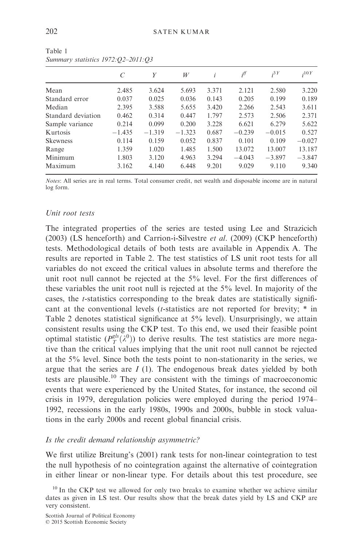|                    |          | Y        | W        | i     | iff      | $i^{3Y}$ | :10Y     |
|--------------------|----------|----------|----------|-------|----------|----------|----------|
|                    |          |          |          |       |          |          |          |
| Mean               | 2.485    | 3.624    | 5.693    | 3.371 | 2.121    | 2.580    | 3.220    |
| Standard error     | 0.037    | 0.025    | 0.036    | 0.143 | 0.205    | 0.199    | 0.189    |
| Median             | 2.395    | 3.588    | 5.655    | 3.420 | 2.266    | 2.543    | 3.611    |
| Standard deviation | 0.462    | 0.314    | 0.447    | 1.797 | 2.573    | 2.506    | 2.371    |
| Sample variance    | 0.214    | 0.099    | 0.200    | 3.228 | 6.621    | 6.279    | 5.622    |
| <b>Kurtosis</b>    | $-1.435$ | $-1.319$ | $-1.323$ | 0.687 | $-0.239$ | $-0.015$ | 0.527    |
| <b>Skewness</b>    | 0.114    | 0.159    | 0.052    | 0.837 | 0.101    | 0.109    | $-0.027$ |
| Range              | 1.359    | 1.020    | 1.485    | 1.500 | 13.072   | 13.007   | 13.187   |
| Minimum            | 1.803    | 3.120    | 4.963    | 3.294 | $-4.043$ | $-3.897$ | $-3.847$ |
| Maximum            | 3.162    | 4.140    | 6.448    | 9.201 | 9.029    | 9.110    | 9.340    |

Table 1 Summary statistics 1972:Q2–2011:Q3

Notes: All series are in real terms. Total consumer credit, net wealth and disposable income are in natural log form.

## Unit root tests

The integrated properties of the series are tested using Lee and Strazicich (2003) (LS henceforth) and Carrion-i-Silvestre *et al.* (2009) (CKP henceforth) tests. Methodological details of both tests are available in Appendix A. The results are reported in Table 2. The test statistics of LS unit root tests for all variables do not exceed the critical values in absolute terms and therefore the unit root null cannot be rejected at the 5% level. For the first differences of these variables the unit root null is rejected at the 5% level. In majority of the cases, the t-statistics corresponding to the break dates are statistically significant at the conventional levels (*t*-statistics are not reported for brevity; \* in Table 2 denotes statistical significance at 5% level). Unsurprisingly, we attain consistent results using the CKP test. To this end, we used their feasible point optimal statistic  $(P_T^{g/s}(\lambda^0))$  to derive results. The test statistics are more negative than the critical values implying that the unit root null cannot be rejected at the 5% level. Since both the tests point to non-stationarity in the series, we argue that the series are  $I(1)$ . The endogenous break dates yielded by both tests are plausible.<sup>10</sup> They are consistent with the timings of macroeconomic events that were experienced by the United States, for instance, the second oil crisis in 1979, deregulation policies were employed during the period 1974– 1992, recessions in the early 1980s, 1990s and 2000s, bubble in stock valuations in the early 2000s and recent global financial crisis.

## Is the credit demand relationship asymmetric?

We first utilize Breitung's (2001) rank tests for non-linear cointegration to test the null hypothesis of no cointegration against the alternative of cointegration in either linear or non-linear type. For details about this test procedure, see

 $10$  In the CKP test we allowed for only two breaks to examine whether we achieve similar dates as given in LS test. Our results show that the break dates yield by LS and CKP are very consistent.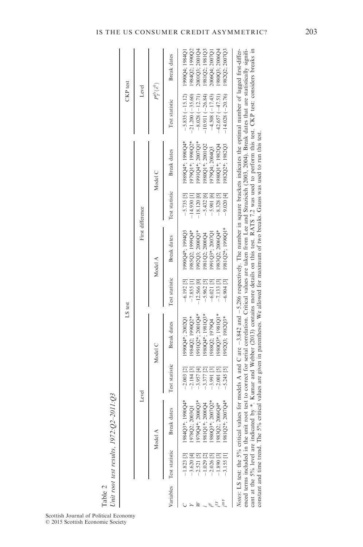|                      | I<br>ľ<br>ã<br>ć<br>$-0.72$ |
|----------------------|-----------------------------|
|                      |                             |
|                      | $\mathcal{L}$               |
| $\ddot{\phantom{0}}$ |                             |
| ٦                    |                             |

|                                  |                                                                                                                                                                                                                                                                                                                                                                |                | LS test                                                                                                                                                  |                |                    |                  |                  | CKP test               |                |
|----------------------------------|----------------------------------------------------------------------------------------------------------------------------------------------------------------------------------------------------------------------------------------------------------------------------------------------------------------------------------------------------------------|----------------|----------------------------------------------------------------------------------------------------------------------------------------------------------|----------------|--------------------|------------------|------------------|------------------------|----------------|
|                                  | Level                                                                                                                                                                                                                                                                                                                                                          |                |                                                                                                                                                          |                |                    | First difference |                  | Level                  |                |
|                                  | Model A                                                                                                                                                                                                                                                                                                                                                        |                | Model C                                                                                                                                                  |                | Model A            |                  | Model C          | $P_T^{gls}(\lambda^0)$ |                |
| Variables Test statistic         | dates<br>Breal                                                                                                                                                                                                                                                                                                                                                 | Test statistic | <b>Break</b> dates                                                                                                                                       | Test statistic | <b>Break</b> dates | Test statistic   | Break dates      | Test statistic         | Break dates    |
| $-1.823$ [3]                     | 984Q3*: 1990Q4*                                                                                                                                                                                                                                                                                                                                                | $-2.003$ [2]   | 990Q4*: 2002Q1                                                                                                                                           | $-6.192[5]$    | 1990Q4*: 1994Q3    | $-5.735$ [5]     | *00661 ** 06861  | $-5.835(-15.12)$       | 1990Q4: 1984Q1 |
| $-3.620$ [4]                     | 1003Q1<br>978Q2;                                                                                                                                                                                                                                                                                                                                               | $-2.184[3]$    | 984Q2; 1990Q2*                                                                                                                                           | $-7.855$ [1]   | 985Q2; 1999Q4*     | $-14.930$ [1]    | 1979Q1*; 1990Q2* | $21.200(-35.60)$       | 984Q2; 1990Q2  |
| $-2.521$ [5]                     | $2000Q3*$<br>979Q4*;                                                                                                                                                                                                                                                                                                                                           | $-3.957[4]$    | 991Q2*; 2001Q4*                                                                                                                                          | $-12.566$ [0]  | 992Q3; 2000Q1*     | $-18.120$ [0]    | 991Q4*; 2007Q1*  | $-8.028(-12.71)$       | 2001Q3; 2001Q4 |
| $-1.029$ [2]                     | 2000Q4<br>;*10186                                                                                                                                                                                                                                                                                                                                              | $-3.377$ [2]   | 980Q4*: 1981Q3*                                                                                                                                          | $-5.962$ [5]   | 981Q2; 2000Q4      | $-5.432[6]$      | 980Q1*; 2001Q2   | $-10.911(-26.84)$      | 981Q2: 1981Q3  |
| $-2.026$ [5]                     | 2007Q2*<br>980Q3*;                                                                                                                                                                                                                                                                                                                                             | $-3.991$ [3]   | 988Q2: 1979Q4                                                                                                                                            | $-6.021$ [5]   | 991Q3*; 2007Q1     | $-5.901[6]$      | 979Q4; 2004Q3    | $-4.508(-17.43)$       | 2006Q4; 2007Q1 |
| .890[3]                          | 2006Q4*<br>983Q2;                                                                                                                                                                                                                                                                                                                                              | $-2.001$ [5]   | 980Q3*: 1981Q1*                                                                                                                                          | 7.133[3]       | 983Q2: 2006Q4*     | $8.328$ [5]      | 980Q1*; 1982Q4   | $-42.657(-47.51)$      | 980Q3: 2006Q4  |
| $-3.155$ [1]                     | 2007Q4*<br>981O2*:                                                                                                                                                                                                                                                                                                                                             | $-5.245$ [5]   | 992Q3; 1982Q3*                                                                                                                                           | $-6.904$ [3]   | 1981Q2*; 1990Q1*   | $-9.020[4]$      | 982Q2*; 1982Q3   | $-14.028(-20.76)$      | 1982Q2; 2007Q3 |
| enced terms included in the unit | cant at the 5% level are indicated by *. Kumar and Webber (2013) contains more details on this test. RATS 7.2 was used to perform this test. CKP test: considers breaks in<br>Notes: LS test: the 5% critical values for models A and C are -3.842 and -5.286 respectively. The number in square brackets indicates the optimal number of lagged first-differ- |                | root test to correct for serial correlation. Critical values are taken from Lee and Strazicich (2003, 2004). Break dates that are statistically signifi- |                |                    |                  |                  |                        |                |

constant and time trend. The 5% critical values are given in parentheses. We allowed for maximum of two breaks. Gauss was used to run this test.

constant and time trend. The 5% critical values are given in parentheses. We allowed for maximum of two breaks. Gauss was used to run this test.

Scottish Journal of Political Economy © 2015 Scottish Economic Society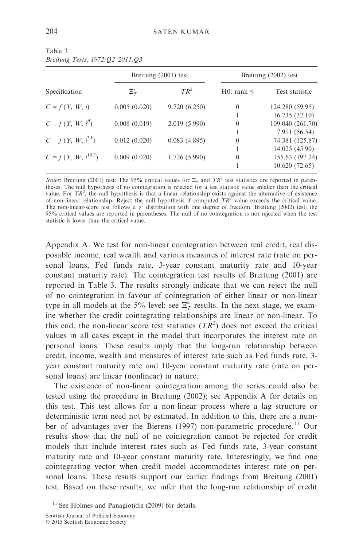|                        |               | Breitung $(2001)$ test | Breitung (2002) test |                  |  |
|------------------------|---------------|------------------------|----------------------|------------------|--|
| Specification          | $\Xi_{T}^{*}$ | $TR^2$                 | H0: rank <           | Test statistic   |  |
| $C = f(Y, W, i)$       | 0.005(0.020)  | 9.720 (6.250)          | $\theta$             | 124.280 (59.95)  |  |
|                        |               |                        |                      | 16.735(32.10)    |  |
| $C = f(Y, W, i^{\#})$  | 0.008(0.019)  | 2.019(5.990)           | $\Omega$             | 109.040 (261.70) |  |
|                        |               |                        |                      | 7.911 (56.54)    |  |
| $C = f(Y, W, i^{3Y})$  | 0.012(0.020)  | 0.083(4.895)           | $\theta$             | 74.381 (125.87)  |  |
|                        |               |                        |                      | 14.025 (45.90)   |  |
| $C = f(Y, W, i^{10Y})$ | 0.009(0.020)  | 1.726 (5.990)          | $\Omega$             | 155.63 (197.24)  |  |
|                        |               |                        |                      | 10.620(72.65)    |  |

Table 3 Breitung Tests, 1972:Q2–2011:Q3

*Notes*: Breitung (2001) test: The 95% critical values for  $\Xi_*$  and TR<sup>2</sup> test statistics are reported in parentheses. The null hypothesis of no cointegration is rejected for a test statistic value smaller than the critical value. For  $TR^2$ , the null hypothesis is that a linear relationship exists against the alternative of existence<br>of non-linear relationship. Reject the null hypothesis if computed  $TR^2$  value exceeds the critical value. The non-linear-score test follows a  $\chi^2$  distribution with one degree of freedom. Breitung (2002) test: the 95% critical values are reported in parentheses. The null of no cointegration is not rejected when the test statistic is lower than the critical value.

Appendix A. We test for non-linear cointegration between real credit, real disposable income, real wealth and various measures of interest rate (rate on personal loans, Fed funds rate, 3-year constant maturity rate and 10-year constant maturity rate). The cointegration test results of Breitung (2001) are reported in Table 3. The results strongly indicate that we can reject the null of no cointegration in favour of cointegration of either linear or non-linear type in all models at the 5% level; see  $\Xi^*_T$  results. In the next stage, we examine whether the credit cointegrating relationships are linear or non-linear. To this end, the non-linear score test statistics  $(TR^2)$  does not exceed the critical values in all cases except in the model that incorporates the interest rate on personal loans. These results imply that the long-run relationship between credit, income, wealth and measures of interest rate such as Fed funds rate, 3 year constant maturity rate and 10-year constant maturity rate (rate on personal loans) are linear (nonlinear) in nature.

The existence of non-linear cointegration among the series could also be tested using the procedure in Breitung (2002); see Appendix A for details on this test. This test allows for a non-linear process where a lag structure or deterministic term need not be estimated. In addition to this, there are a number of advantages over the Bierens (1997) non-parametric procedure.<sup>11</sup> Our results show that the null of no cointegration cannot be rejected for credit models that include interest rates such as Fed funds rate, 3-year constant maturity rate and 10-year constant maturity rate. Interestingly, we find one cointegrating vector when credit model accommodates interest rate on personal loans. These results support our earlier findings from Breitung (2001) test. Based on these results, we infer that the long-run relationship of credit

 $11$  See Holmes and Panagiotidis (2009) for details.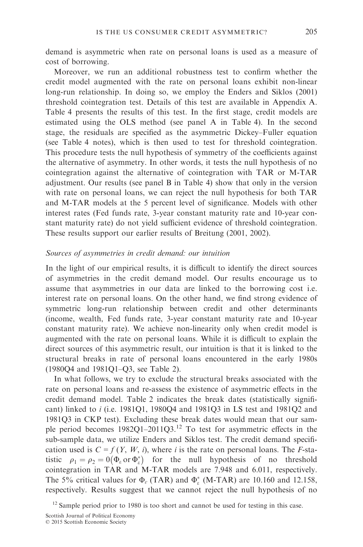demand is asymmetric when rate on personal loans is used as a measure of cost of borrowing.

Moreover, we run an additional robustness test to confirm whether the credit model augmented with the rate on personal loans exhibit non-linear long-run relationship. In doing so, we employ the Enders and Siklos (2001) threshold cointegration test. Details of this test are available in Appendix A. Table 4 presents the results of this test. In the first stage, credit models are estimated using the OLS method (see panel A in Table 4). In the second stage, the residuals are specified as the asymmetric Dickey–Fuller equation (see Table 4 notes), which is then used to test for threshold cointegration. This procedure tests the null hypothesis of symmetry of the coefficients against the alternative of asymmetry. In other words, it tests the null hypothesis of no cointegration against the alternative of cointegration with TAR or M-TAR adjustment. Our results (see panel B in Table 4) show that only in the version with rate on personal loans, we can reject the null hypothesis for both TAR and M-TAR models at the 5 percent level of significance. Models with other interest rates (Fed funds rate, 3-year constant maturity rate and 10-year constant maturity rate) do not yield sufficient evidence of threshold cointegration. These results support our earlier results of Breitung (2001, 2002).

## Sources of asymmetries in credit demand: our intuition

In the light of our empirical results, it is difficult to identify the direct sources of asymmetries in the credit demand model. Our results encourage us to assume that asymmetries in our data are linked to the borrowing cost i.e. interest rate on personal loans. On the other hand, we find strong evidence of symmetric long-run relationship between credit and other determinants (income, wealth, Fed funds rate, 3-year constant maturity rate and 10-year constant maturity rate). We achieve non-linearity only when credit model is augmented with the rate on personal loans. While it is difficult to explain the direct sources of this asymmetric result, our intuition is that it is linked to the structural breaks in rate of personal loans encountered in the early 1980s (1980Q4 and 1981Q1–Q3, see Table 2).

In what follows, we try to exclude the structural breaks associated with the rate on personal loans and re-assess the existence of asymmetric effects in the credit demand model. Table 2 indicates the break dates (statistically significant) linked to i (i.e. 1981Q1, 1980Q4 and 1981Q3 in LS test and 1981Q2 and 1981Q3 in CKP test). Excluding these break dates would mean that our sample period becomes 1982Q1–2011Q3.12 To test for asymmetric effects in the sub-sample data, we utilize Enders and Siklos test. The credit demand specification used is  $C = f(Y, W, i)$ , where i is the rate on personal loans. The F-statistic  $\rho_1 = \rho_2 = 0$  ( $\Phi_\varepsilon$  or  $\Phi_\varepsilon^*$ ) for the null hypothesis of no threshold cointegration in TAR and M-TAR models are 7.948 and 6.011, respectively. The 5% critical values for  $\Phi_{\varepsilon}$  (TAR) and  $\Phi_{\varepsilon}^*$  (M-TAR) are 10.160 and 12.158, respectively. Results suggest that we cannot reject the null hypothesis of no

 $12$  Sample period prior to 1980 is too short and cannot be used for testing in this case.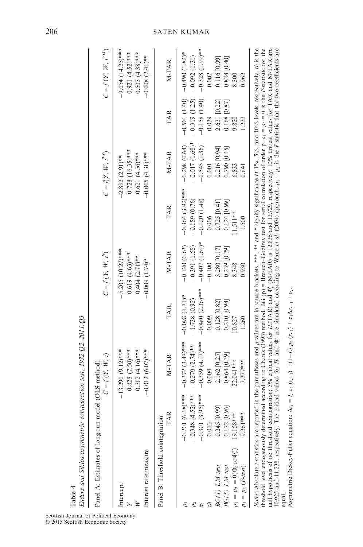| Enders and Siklos asymmetric cointegration test, 1972:Q2-2011:Q3<br>Table 4                                                                                                                                                                                                                                                                                                                                                                                                                                                                                                     |                                                                                                                                                            |                                                                                                                                       |                                                                                                                           |                                                                                                                    |                                                                                                                          |                                                                                                                 |                                                                                                               |                                                                                                                    |
|---------------------------------------------------------------------------------------------------------------------------------------------------------------------------------------------------------------------------------------------------------------------------------------------------------------------------------------------------------------------------------------------------------------------------------------------------------------------------------------------------------------------------------------------------------------------------------|------------------------------------------------------------------------------------------------------------------------------------------------------------|---------------------------------------------------------------------------------------------------------------------------------------|---------------------------------------------------------------------------------------------------------------------------|--------------------------------------------------------------------------------------------------------------------|--------------------------------------------------------------------------------------------------------------------------|-----------------------------------------------------------------------------------------------------------------|---------------------------------------------------------------------------------------------------------------|--------------------------------------------------------------------------------------------------------------------|
| Panel A: Estimates of long-run model (OLS method)                                                                                                                                                                                                                                                                                                                                                                                                                                                                                                                               |                                                                                                                                                            | $C = f(Y, W, i)$                                                                                                                      |                                                                                                                           | $C=f\left( \left. Y,\;W,\;t^{\mathcal{B}}\right. \right)$                                                          |                                                                                                                          | $C = f(Y, W, i^{3Y})$                                                                                           |                                                                                                               | $C=f(Y,\,W,\,i^{10Y})$                                                                                             |
| Interest rate measure<br>Intercept                                                                                                                                                                                                                                                                                                                                                                                                                                                                                                                                              |                                                                                                                                                            | $0.828$ $(7.50)***$<br>$-13.290(9.12)***$<br>$0.512 (4.16)$ ***<br>$-0.012(6.07)$ ***                                                 |                                                                                                                           | 5.205 $(10.27)$ ***<br>$0.619(4.63)$ ***<br>$0.404$ $(2.71)$ **<br>$-0.009$ $(1.74)*$                              |                                                                                                                          | $0.728$ $(16.35)$ ***<br>$0.621 (4.56)$ ***<br>$-0.005(4.31)**$<br>$-2.892(2.91)$ **                            |                                                                                                               | $-9.054$ (14.25)***<br>$0.921 (4.52)$ ***<br>$0.503(4.38)$ ***<br>$-0.008$ (2.41) <sup>**</sup>                    |
| Panel B: Threshold cointegration                                                                                                                                                                                                                                                                                                                                                                                                                                                                                                                                                | <b>TAR</b>                                                                                                                                                 | M-TAR                                                                                                                                 | <b>TAR</b>                                                                                                                | M-TAR                                                                                                              | <b>TAR</b>                                                                                                               | M-TAR                                                                                                           | <b>TAR</b>                                                                                                    | M-TAR                                                                                                              |
| $\rho_1=\rho_2=0(\Phi_{\!rm e}~{\rm or}~\Phi_{\rm e}^*)$<br>BG(1) LM test<br>BG(5) LM test<br>$\rho_1=\rho_2\left(F\text{-}test\right)$                                                                                                                                                                                                                                                                                                                                                                                                                                         | $(6.18)$ ***<br>$(4.52)***$<br>$(3.95)***$<br>[0.99]<br>[0.96]<br>19.158***<br>***<br>$-0.201$<br>$-0.348$<br>$-0.301$<br>0.013<br>0.245<br>0.172<br>9.261 | $-0.372(3.47)$ ***<br>$-0.359(4.17)$ ***<br>$-0.279$ $(2.74)*$<br>2.162 [0.25]<br>$0.864$ [0.39]<br>22.041 ***<br>$7.377***$<br>0.004 | $-0.480(2.36)$ ***<br>$-0.098$ $(1.71)^*$<br>$-1.738(0.92)$<br>0.128 [0.82]<br>$0.210$ [0.94]<br>0.009<br>10.827<br>1.260 | $-0.407(1.69)$ *<br>$-0.120(0.63)$<br>$-0.391(1.58)$<br>0.239 [0.79]<br>3.280 [0.17]<br>$-0.100$<br>8.348<br>0.930 | $-0.364$ (3.92)***<br>$-0.120(1.48)$<br>$-0.189(0.76)$<br>$0.124$ [0.99]<br>$0.725$ [0.41]<br>!1.511**<br>0.006<br>1.500 | $-0.017(1.68)$ *<br>$-0.298(0.64)$<br>$-0.545(1.36)$<br>0.216 [0.94]<br>0.790 [0.45]<br>6.833<br>0.001<br>0.841 | $-0.501(1.40)$<br>$-0.158(1.40)$<br>$-0.319(1.25)$<br>0.168 [0.87]<br>2.631 [0.22]<br>0.039<br>9.820<br>1.233 | $-0.328(1.99)$ **<br>$-0.490(1.82)$ *<br>$-0.092(1.31)$<br>0.824 [0.40]<br>0.116 [0.99]<br>0.002<br>8.300<br>0.962 |
| Notes: Absolute Astatistics are reported in the parentheses and p-values are in square brackets. ***, ** and * signify significance at 1%, 5%, and 10% levels, respectively. this the<br>threshold level endogenously determined according to Chan's (1993) method. BG (p) = Bresuch-Godfrey test for serial correlation of order p. $\rho_1 = \rho_2 = 0$ is the F-statistic for the<br>null hypothesis of no threshold cointegration; 5% critical values for $\Pi_s(TAR)$ and $\Phi_s^*(M-TAR)$ is 12.836 and 13.729, respectively. 10% critical values for TAR and M-TAR are |                                                                                                                                                            |                                                                                                                                       |                                                                                                                           |                                                                                                                    |                                                                                                                          |                                                                                                                 |                                                                                                               |                                                                                                                    |

equal.<br>Asymmetric Dickey-Fuller equation:  $\Delta \epsilon_1 = I$ ,  $\rho_1 (e_{r-1}) + (1 - I)$ ,  $\rho_2 (e_{r+1}) + \alpha_1 \Delta e_{r-1} + v_r$ . Asymmetric Dickey-Fuller equation:  $\Delta \epsilon_t = I_t \rho_1 (e_{t-1}) + (1-I_t) \rho_2 (e_{t-1}) + \alpha_1 \Delta \epsilon_{t-1} + v_t$ .

10.925 and 11.238, respectively. The critical values for

 $\Pi_{\varepsilon}$  and ê,

are simulated according to Wane et al. (2004) approach.  $\rho_1 = \rho_2$  is the

F-statistic that the two coefficients are

# 206 SATEN KUMAR

Scottish Journal of Political Economy © 2015 Scottish Economic Society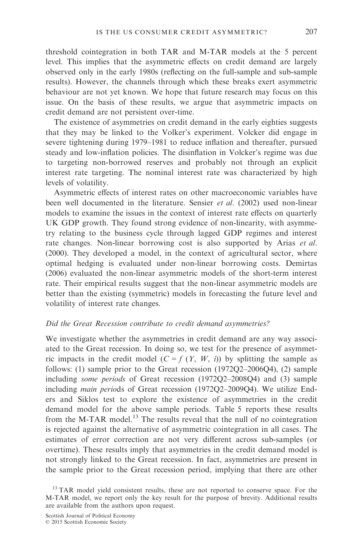threshold cointegration in both TAR and M-TAR models at the 5 percent level. This implies that the asymmetric effects on credit demand are largely observed only in the early 1980s (reflecting on the full-sample and sub-sample results). However, the channels through which these breaks exert asymmetric behaviour are not yet known. We hope that future research may focus on this issue. On the basis of these results, we argue that asymmetric impacts on credit demand are not persistent over-time.

The existence of asymmetries on credit demand in the early eighties suggests that they may be linked to the Volker's experiment. Volcker did engage in severe tightening during 1979–1981 to reduce inflation and thereafter, pursued steady and low-inflation policies. The disinflation in Volcker's regime was due to targeting non-borrowed reserves and probably not through an explicit interest rate targeting. The nominal interest rate was characterized by high levels of volatility.

Asymmetric effects of interest rates on other macroeconomic variables have been well documented in the literature. Sensier et al. (2002) used non-linear models to examine the issues in the context of interest rate effects on quarterly UK GDP growth. They found strong evidence of non-linearity, with asymmetry relating to the business cycle through lagged GDP regimes and interest rate changes. Non-linear borrowing cost is also supported by Arias et al. (2000). They developed a model, in the context of agricultural sector, where optimal hedging is evaluated under non-linear borrowing costs. Demirtas (2006) evaluated the non-linear asymmetric models of the short-term interest rate. Their empirical results suggest that the non-linear asymmetric models are better than the existing (symmetric) models in forecasting the future level and volatility of interest rate changes.

### Did the Great Recession contribute to credit demand asymmetries?

We investigate whether the asymmetries in credit demand are any way associated to the Great recession. In doing so, we test for the presence of asymmetric impacts in the credit model  $(C = f(Y, W, i))$  by splitting the sample as follows: (1) sample prior to the Great recession (1972Q2–2006Q4), (2) sample including some periods of Great recession (1972Q2–2008Q4) and (3) sample including main periods of Great recession (1972Q2–2009Q4). We utilize Enders and Siklos test to explore the existence of asymmetries in the credit demand model for the above sample periods. Table 5 reports these results from the M-TAR model.<sup>13</sup> The results reveal that the null of no cointegration is rejected against the alternative of asymmetric cointegration in all cases. The estimates of error correction are not very different across sub-samples (or overtime). These results imply that asymmetries in the credit demand model is not strongly linked to the Great recession. In fact, asymmetries are present in the sample prior to the Great recession period, implying that there are other

<sup>&</sup>lt;sup>13</sup> TAR model yield consistent results, these are not reported to conserve space. For the M-TAR model, we report only the key result for the purpose of brevity. Additional results are available from the authors upon request.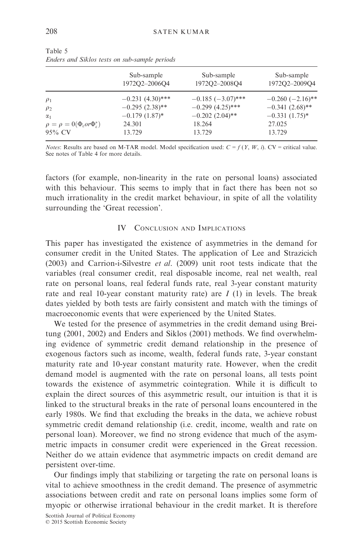|                                                             | Sub-sample         | Sub-sample          | Sub-sample            |
|-------------------------------------------------------------|--------------------|---------------------|-----------------------|
|                                                             | 1972Q2-2006Q4      | 1972Q2-2008Q4       | 1972Q2-2009Q4         |
| $\rho_1$                                                    | $-0.231(4.30)$ *** | $-0.185(-3.07)$ *** | $-0.260$ $(-2.16)$ ** |
| $\rho_2$                                                    | $-0.295(2.38)$ **  | $-0.299(4.25)$ ***  | $-0.341(2.68)$ **     |
| $\alpha_1$                                                  | $-0.179(1.87)$ *   | $-0.202(2.04)$ **   | $-0.331(1.75)^*$      |
| $\rho = \rho = 0(\Phi_{\varepsilon}or\Phi_{\varepsilon}^*)$ | 24.301             | 18.264              | 27.025                |
| 95% CV                                                      | 13.729             | 13.729              | 13.729                |

Table 5 Enders and Siklos tests on sub-sample periods

*Notes*: Results are based on M-TAR model. Model specification used:  $C = f(Y, W, i)$ . CV = critical value. See notes of Table 4 for more details.

factors (for example, non-linearity in the rate on personal loans) associated with this behaviour. This seems to imply that in fact there has been not so much irrationality in the credit market behaviour, in spite of all the volatility surrounding the 'Great recession'.

### IV CONCLUSION AND IMPLICATIONS

This paper has investigated the existence of asymmetries in the demand for consumer credit in the United States. The application of Lee and Strazicich (2003) and Carrion-i-Silvestre *et al.* (2009) unit root tests indicate that the variables (real consumer credit, real disposable income, real net wealth, real rate on personal loans, real federal funds rate, real 3-year constant maturity rate and real 10-year constant maturity rate) are  $I(1)$  in levels. The break dates yielded by both tests are fairly consistent and match with the timings of macroeconomic events that were experienced by the United States.

We tested for the presence of asymmetries in the credit demand using Breitung (2001, 2002) and Enders and Siklos (2001) methods. We find overwhelming evidence of symmetric credit demand relationship in the presence of exogenous factors such as income, wealth, federal funds rate, 3-year constant maturity rate and 10-year constant maturity rate. However, when the credit demand model is augmented with the rate on personal loans, all tests point towards the existence of asymmetric cointegration. While it is difficult to explain the direct sources of this asymmetric result, our intuition is that it is linked to the structural breaks in the rate of personal loans encountered in the early 1980s. We find that excluding the breaks in the data, we achieve robust symmetric credit demand relationship (i.e. credit, income, wealth and rate on personal loan). Moreover, we find no strong evidence that much of the asymmetric impacts in consumer credit were experienced in the Great recession. Neither do we attain evidence that asymmetric impacts on credit demand are persistent over-time.

Our findings imply that stabilizing or targeting the rate on personal loans is vital to achieve smoothness in the credit demand. The presence of asymmetric associations between credit and rate on personal loans implies some form of myopic or otherwise irrational behaviour in the credit market. It is therefore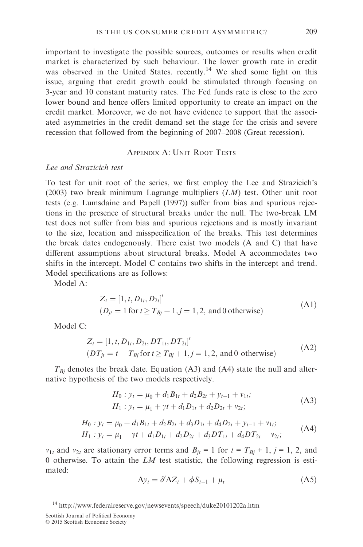important to investigate the possible sources, outcomes or results when credit market is characterized by such behaviour. The lower growth rate in credit was observed in the United States. recently.<sup>14</sup> We shed some light on this issue, arguing that credit growth could be stimulated through focusing on 3-year and 10 constant maturity rates. The Fed funds rate is close to the zero lower bound and hence offers limited opportunity to create an impact on the credit market. Moreover, we do not have evidence to support that the associated asymmetries in the credit demand set the stage for the crisis and severe recession that followed from the beginning of 2007–2008 (Great recession).

APPENDIX A: UNIT ROOT TESTS

# Lee and Strazicich test

To test for unit root of the series, we first employ the Lee and Strazicich's (2003) two break minimum Lagrange multipliers  $(LM)$  test. Other unit root tests (e.g. Lumsdaine and Papell (1997)) suffer from bias and spurious rejections in the presence of structural breaks under the null. The two-break LM test does not suffer from bias and spurious rejections and is mostly invariant to the size, location and misspecification of the breaks. This test determines the break dates endogenously. There exist two models (A and C) that have different assumptions about structural breaks. Model A accommodates two shifts in the intercept. Model C contains two shifts in the intercept and trend. Model specifications are as follows:

Model A:

$$
Z_t = [1, t, D_{1t}, D_{2t}]'
$$
  
(*D<sub>jt</sub>* = 1 for  $t \ge T_{Bj} + 1, j = 1, 2$ , and 0 otherwise) (A1)

Model C:

$$
Z_t = [1, t, D_{1t}, D_{2t}, DT_{1t}, DT_{2t}]'
$$
  
( $DT_{jt} = t - T_{Bj}$  for  $t \ge T_{Bj} + 1, j = 1, 2$ , and 0 otherwise) (A2)

 $T_{Bj}$  denotes the break date. Equation (A3) and (A4) state the null and alternative hypothesis of the two models respectively.

$$
H_0: y_t = \mu_0 + d_1 B_{1t} + d_2 B_{2t} + y_{t-1} + v_{1t};
$$
  
\n
$$
H_1: y_t = \mu_1 + \gamma t + d_1 D_{1t} + d_2 D_{2t} + v_{2t};
$$
\n(A3)

$$
H_0: y_t = \mu_0 + d_1 B_{1t} + d_2 B_{2t} + d_3 D_{1t} + d_4 D_{2t} + y_{t-1} + v_{1t};
$$
  
\n
$$
H_1: y_t = \mu_1 + \gamma t + d_1 D_{1t} + d_2 D_{2t} + d_3 DT_{1t} + d_4 DT_{2t} + v_{2t};
$$
\n(A4)

 $v_{1t}$  and  $v_{2t}$  are stationary error terms and  $B_{it} = 1$  for  $t = T_{Bj} + 1$ ,  $j = 1, 2$ , and 0 otherwise. To attain the  $LM$  test statistic, the following regression is estimated:

$$
\Delta y_t = \delta' \Delta Z_t + \phi \overline{S}_{t-1} + \mu_t \tag{A5}
$$

Scottish Journal of Political Economy

<sup>&</sup>lt;sup>14</sup> <http://www.federalreserve.gov/newsevents/speech/duke20101202a.htm>

<sup>©</sup> 2015 Scottish Economic Society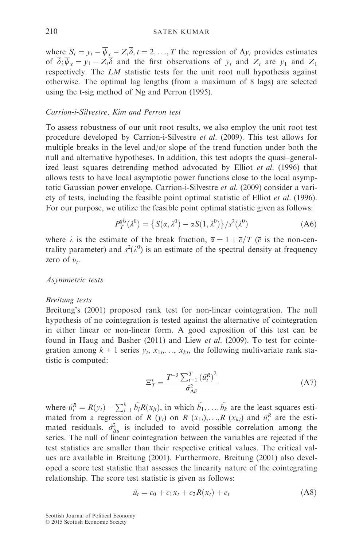where  $\overline{S}_t = y_t - \overline{\psi}_x - Z_t \overline{\delta}, t = 2, ..., T$  the regression of  $\Delta y_t$  provides estimates of  $\overline{\delta}$ ;  $\overline{\psi}_x = y_1 - Z_t \overline{\delta}$  and the first observations of  $y_t$  and  $Z_t$  are  $y_1$  and  $Z_1$ respectively. The LM statistic tests for the unit root null hypothesis against otherwise. The optimal lag lengths (from a maximum of 8 lags) are selected using the t-sig method of Ng and Perron (1995).

# Carrion-i-Silvestre, Kim and Perron test

To assess robustness of our unit root results, we also employ the unit root test procedure developed by Carrion-i-Silvestre et al. (2009). This test allows for multiple breaks in the level and/or slope of the trend function under both the null and alternative hypotheses. In addition, this test adopts the quasi–generalized least squares detrending method advocated by Elliot et al. (1996) that allows tests to have local asymptotic power functions close to the local asymptotic Gaussian power envelope. Carrion-i-Silvestre et al. (2009) consider a variety of tests, including the feasible point optimal statistic of Elliot et al. (1996). For our purpose, we utilize the feasible point optimal statistic given as follows:

$$
P_T^{gls}(\lambda^0) = \left\{ S(\overline{\alpha}, \lambda^0) - \overline{\alpha}S(1, \lambda^0) \right\} / s^2(\lambda^0)
$$
 (A6)

where  $\lambda$  is the estimate of the break fraction,  $\overline{\alpha} = 1 + \overline{c}/T$  ( $\overline{c}$  is the non-centrality parameter) and  $s^2(\lambda^0)$  is an estimate of the spectral density at frequency zero of  $v_t$ .

## Asymmetric tests

#### Breitung tests

Breitung's (2001) proposed rank test for non-linear cointegration. The null hypothesis of no cointegration is tested against the alternative of cointegration in either linear or non-linear form. A good exposition of this test can be found in Haug and Basher (2011) and Liew et al. (2009). To test for cointegration among  $k + 1$  series  $y_t$ ,  $x_{1t}$ ,...,  $x_{kt}$ , the following multivariate rank statistic is computed:

$$
\Xi_{T}^{*} = \frac{T^{-3} \sum_{t=1}^{T} (\tilde{u}_{t}^{R})^{2}}{\hat{\sigma}_{\Delta \tilde{u}}^{2}}
$$
(A7)

where  $\tilde{u}_t^R = R(y_t) - \sum_{j=1}^k \tilde{b}_j R(x_{jt}),$  in which  $\tilde{b}_1, \ldots, \tilde{b}_k$  are the least squares estimated from a regression of R  $(y_t)$  on R  $(x_{1t}),...,R (x_{kt})$  and  $\tilde{u}_t^R$  are the estimated residuals.  $\hat{\sigma}_{\Delta u}^2$  is included to avoid possible correlation among the series. The null of linear cointegration between the variables are rejected if the test statistics are smaller than their respective critical values. The critical values are available in Breitung (2001). Furthermore, Breitung (2001) also developed a score test statistic that assesses the linearity nature of the cointegrating relationship. The score test statistic is given as follows:

$$
\tilde{u_t} = c_0 + c_1 x_t + c_2 R(x_t) + e_t \tag{A8}
$$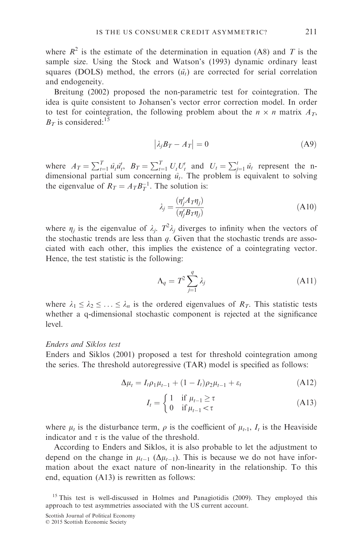where  $R^2$  is the estimate of the determination in equation (A8) and T is the sample size. Using the Stock and Watson's (1993) dynamic ordinary least squares (DOLS) method, the errors  $(\tilde{u}_t)$  are corrected for serial correlation and endogeneity.

Breitung (2002) proposed the non-parametric test for cointegration. The idea is quite consistent to Johansen's vector error correction model. In order to test for cointegration, the following problem about the  $n \times n$  matrix  $A_T$ ,  $B_T$  is considered:<sup>15</sup>

$$
\left|\lambda_j B_T - A_T\right| = 0\tag{A9}
$$

where  $A_T = \sum_{t=1}^T \hat{u}_t \hat{u}'_t$ ,  $B_T = \sum_{t=1}^T U_t U'_t$  and  $U_t = \sum_{j=1}^t \hat{u}_t$  represent the ndimensional partial sum concerning  $\hat{u}_t$ . The problem is equivalent to solving the eigenvalue of  $R_T = A_T B_T^{-1}$ . The solution is:

$$
\lambda_j = \frac{(\eta'_j A \tau \eta_j)}{(\eta'_j B \tau \eta_j)}
$$
\n(A10)

where  $\eta_j$  is the eigenvalue of  $\lambda_j$ .  $T^2 \lambda_j$  diverges to infinity when the vectors of the stochastic trends are less than  $q$ . Given that the stochastic trends are associated with each other, this implies the existence of a cointegrating vector. Hence, the test statistic is the following:

$$
\Lambda_q = T^2 \sum_{j=1}^q \lambda_j \tag{A11}
$$

where  $\lambda_1 \leq \lambda_2 \leq \ldots \leq \lambda_n$  is the ordered eigenvalues of  $R_T$ . This statistic tests whether a q-dimensional stochastic component is rejected at the significance level.

#### Enders and Siklos test

Enders and Siklos (2001) proposed a test for threshold cointegration among the series. The threshold autoregressive (TAR) model is specified as follows:

$$
\Delta \mu_t = I_t \rho_1 \mu_{t-1} + (1 - I_t) \rho_2 \mu_{t-1} + \varepsilon_t \tag{A12}
$$

$$
I_t = \begin{cases} 1 & \text{if } \mu_{t-1} \ge \tau \\ 0 & \text{if } \mu_{t-1} < \tau \end{cases}
$$
 (A13)

where  $\mu_t$  is the disturbance term,  $\rho$  is the coefficient of  $\mu_{t-1}$ ,  $I_t$  is the Heaviside indicator and  $\tau$  is the value of the threshold.

According to Enders and Siklos, it is also probable to let the adjustment to depend on the change in  $\mu_{t-1}$  ( $\Delta \mu_{t-1}$ ). This is because we do not have information about the exact nature of non-linearity in the relationship. To this end, equation (A13) is rewritten as follows:

<sup>15</sup> This test is well-discussed in Holmes and Panagiotidis (2009). They employed this approach to test asymmetries associated with the US current account.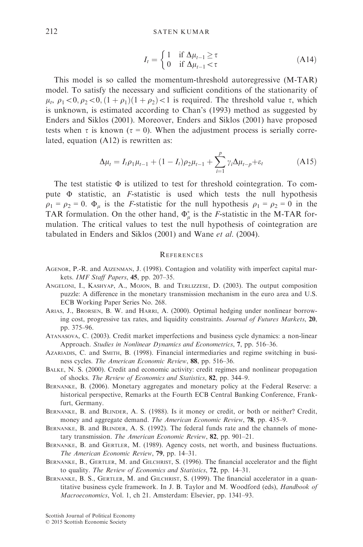$$
I_t = \begin{cases} 1 & \text{if } \Delta \mu_{t-1} \ge \tau \\ 0 & \text{if } \Delta \mu_{t-1} < \tau \end{cases}
$$
 (A14)

This model is so called the momentum-threshold autoregressive (M-TAR) model. To satisfy the necessary and sufficient conditions of the stationarity of  $\mu_t$ ,  $\rho_1 < 0$ ,  $\rho_2 < 0$ ,  $(1 + \rho_1)(1 + \rho_2) < 1$  is required. The threshold value  $\tau$ , which is unknown, is estimated according to Chan's (1993) method as suggested by Enders and Siklos (2001). Moreover, Enders and Siklos (2001) have proposed tests when  $\tau$  is known ( $\tau = 0$ ). When the adjustment process is serially correlated, equation (A12) is rewritten as:

$$
\Delta \mu_t = I_t \rho_1 \mu_{t-1} + (1 - I_t) \rho_2 \mu_{t-1} + \sum_{i=1}^p \gamma_i \Delta \mu_{t-p} + \varepsilon_t
$$
\n(A15)

The test statistic  $\Phi$  is utilized to test for threshold cointegration. To compute Φ statistic, an F-statistic is used which tests the null hypothesis  $\rho_1 = \rho_2 = 0$ .  $\Phi_u$  is the *F*-statistic for the null hypothesis  $\rho_1 = \rho_2 = 0$  in the TAR formulation. On the other hand,  $\Phi^*_{\mu}$  is the *F*-statistic in the M-TAR formulation. The critical values to test the null hypothesis of cointegration are tabulated in Enders and Siklos (2001) and Wane et al. (2004).

## **REFERENCES**

- AGENOR, P.-R. and AIZENMAN, J. (1998). Contagion and volatility with imperfect capital markets. IMF Staff Papers, 45, pp. 207–35.
- ANGELONI, I., KASHYAP, A., MOJON, B. and TERLIZZESE, D. (2003). The output composition puzzle: A difference in the monetary transmission mechanism in the euro area and U.S. ECB Working Paper Series No. 268.
- ARIAS, J., BRORSEN, B. W. and HARRI, A. (2000). Optimal hedging under nonlinear borrowing cost, progressive tax rates, and liquidity constraints. Journal of Futures Markets, 20, pp. 375–96.
- ATANASOVA, C. (2003). Credit market imperfections and business cycle dynamics: a non-linear Approach. Studies in Nonlinear Dynamics and Econometrics, 7, pp. 516–36.
- AZARIADIS, C. and SMITH, B. (1998). Financial intermediaries and regime switching in business cycles. The American Economic Review, 88, pp. 516–36.
- BALKE, N. S. (2000). Credit and economic activity: credit regimes and nonlinear propagation of shocks. The Review of Economics and Statistics, 82, pp. 344–9.
- BERNANKE, B. (2006). Monetary aggregates and monetary policy at the Federal Reserve: a historical perspective, Remarks at the Fourth ECB Central Banking Conference, Frankfurt, Germany.
- BERNANKE, B. and BLINDER, A. S. (1988). Is it money or credit, or both or neither? Credit, money and aggregate demand. The American Economic Review, 78, pp. 435–9.
- BERNANKE, B. and BLINDER, A. S. (1992). The federal funds rate and the channels of monetary transmission. The American Economic Review, 82, pp. 901-21.
- BERNANKE, B. and GERTLER, M. (1989). Agency costs, net worth, and business fluctuations. The American Economic Review, 79, pp. 14–31.
- BERNANKE, B., GERTLER, M. and GILCHRIST, S. (1996). The financial accelerator and the flight to quality. The Review of Economics and Statistics, 72, pp. 14–31.
- BERNANKE, B. S., GERTLER, M. and GILCHRIST, S. (1999). The financial accelerator in a quantitative business cycle framework. In J. B. Taylor and M. Woodford (eds), Handbook of Macroeconomics, Vol. 1, ch 21. Amsterdam: Elsevier, pp. 1341–93.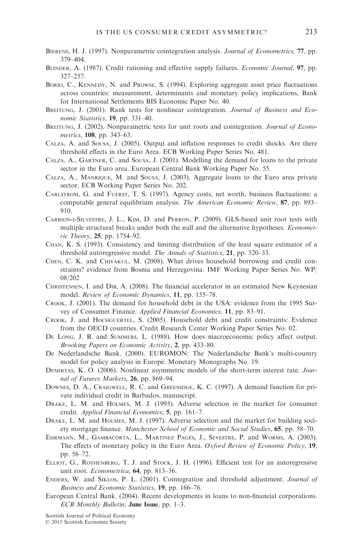- BIERENS, H. J. (1997). Nonparametric cointegration analysis. *Journal of Econometrics*, 77, pp. 379–404.
- BLINDER, A. (1987). Credit rationing and effective supply failures. Economic Journal, 97, pp. 327–257.
- BORIO, C., KENNEDY, N. and PROWSE, S. (1994). Exploring aggregate asset price fluctuations across countries: measurement, determinants and monetary policy implications, Bank for International Settlements BIS Economic Paper No. 40.
- BREITUNG, J. (2001). Rank tests for nonlinear cointegration. Journal of Business and Economic Statistics, 19, pp. 331–40.
- BREITUNG, J. (2002). Nonparametric tests for unit roots and cointegration. Journal of Econometrics, 108, pp. 343–63.
- CALZA, A. and SOUSA, J. (2005). Output and inflation responses to credit shocks. Are there threshold effects in the Euro Area. ECB Working Paper Series No. 481.
- CALZA, A., GARTNER, C. and SOUSA, J. (2001). Modelling the demand for loans to the private sector in the Euro area. European Central Bank Working Paper No. 55.
- CALZA, A., MANRIQUE, M. and SOUSA, J. (2003). Aggregate loans to the Euro area private sector. ECB Working Paper Series No. 202.
- CARLSTROM, G. and FUERST, T. S. (1997). Agency costs, net worth, business fluctuations: a computable general equilibrium analysis. The American Economic Review, 87, pp. 893– 910.
- CARRION-I-SILVESTRE, J. L., KIM, D. and PERRON, P. (2009). GLS-based unit root tests with multiple structural breaks under both the null and the alternative hypotheses. *Economet*ric Theory, 25, pp. 1754–92.
- CHAN, K. S. (1993). Consistency and limiting distribution of the least square estimator of a threshold autoregressive model. The Annals of Statistics, 21, pp. 520–33.
- CHEN, C. K. and CHIVAKUL, M. (2008). What drives household borrowing and credit constraints? evidence from Bosnia and Herzegovina. IMF Working Paper Series No. WP/ 08/202
- CHRISTENSEN, I. and DIB, A. (2008). The financial accelerator in an estimated New Keynesian model. Review of Economic Dynamics, 11, pp. 155–78.
- CROOK, J. (2001). The demand for household debt in the USA: evidence from the 1995 Survey of Consumer Finance. Applied Financial Economics, 11, pp. 83–91.
- CROOK, J. and HOCHGUERTEL, S. (2005). Household debt and credit constraints: Evidence from the OECD countries. Credit Research Center Working Paper Series No. 02.
- DE LONG, J. B. and SUMMERS, L. (1988). How does macroeconomic policy affect output. Brooking Papers on Economic Activity, 2, pp. 433–80.
- De Nederlandsche Bank. (2000). EUROMON: The Nederlandsche Bank's multi-country model for policy analysis in Europe. Monetary Monographs No. 19.
- DEMIRTAS, K. O. (2006). Nonlinear asymmetric models of the short-term interest rate. Journal of Futures Markets, 26, pp. 869-94.
- DOWNES, D. A., CRAIGWELL, R. C. and GREENIDGE, K. C. (1997). A demand function for private individual credit in Barbados, manuscript.
- DRAKE, L. M. and HOLMES, M. J. (1995). Adverse selection in the market for consumer credit. Applied Financial Economics, 5, pp. 161–7.
- DRAKE, L. M. and HOLMES, M. J. (1997). Adverse selection and the market for building society mortgage finance. Manchester School of Economic and Social Studies, 65, pp. 58–70.
- EHRMANN, M., GAMBACORTA, L., MARTINEZ PAGÉS, J., SEVESTRE, P. and WORMS, A. (2003). The effects of monetary policy in the Euro Area. Oxford Review of Economic Policy, 19, pp. 58–72.
- ELLIOT, G., ROTHENBERG, T. J. and STOCK, J. H. (1996). Efficient test for an autoregressive unit root. Econometrica, 64, pp. 813–36.
- ENDERS, W. and SIKLOS, P. L. (2001). Cointegration and threshold adjustment. Journal of Business and Economic Statistics, 19, pp. 166–76.
- European Central Bank. (2004). Recent developments in loans to non-financial corporations. ECB Monthly Bulletin, June Issue, pp. 1–3.

Scottish Journal of Political Economy

© 2015 Scottish Economic Society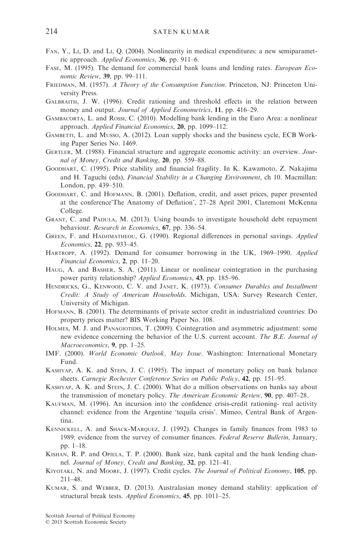- FAN, Y., LI, D. and LI, Q. (2004). Nonlinearity in medical expenditures: a new semiparametric approach. Applied Economics, 36, pp. 911–6.
- FASE, M. (1995). The demand for commercial bank loans and lending rates. European Economic Review, 39, pp. 99–111.
- FRIEDMAN, M. (1957). A Theory of the Consumption Function. Princeton, NJ: Princeton University Press.
- GALBRAITH, J. W. (1996). Credit rationing and threshold effects in the relation between money and output. Journal of Applied Econometrics, 11, pp. 416–29.
- GAMBACORTA, L. and ROSSI, C. (2010). Modelling bank lending in the Euro Area: a nonlinear approach. Applied Financial Economics, 20, pp. 1099–112.
- GAMBETTI, L. and MUSSO, A. (2012). Loan supply shocks and the business cycle, ECB Working Paper Series No. 1469.
- GERTLER, M. (1988). Financial structure and aggregate economic activity: an overview. Journal of Money, Credit and Banking, 20, pp. 559-88.
- GOODHART, C. (1995). Price stability and financial fragility. In K. Kawamoto, Z. Nakajima and H. Taguchi (eds), Financial Stability in a Changing Environment, ch 10. Macmillan: London, pp. 439–510.
- GOODHART, C. and HOFMANN, B. (2001). Deflation, credit, and asset prices, paper presented at the conference'The Anatomy of Deflation', 27–28 April 2001, Claremont McKenna College.
- GRANT, C. and PADULA, M. (2013). Using bounds to investigate household debt repayment behaviour. Research in Economics, 67, pp. 336–54.
- GREEN, F. and HADJIMATHEOU, G. (1990). Regional differences in personal savings. Applied Economics, 22, pp. 933–45.
- HARTROPP, A. (1992). Demand for consumer borrowing in the UK, 1969–1990. Applied Financial Economics, 2, pp. 11–20.
- HAUG, A. and BASHER, S. A. (2011). Linear or nonlinear cointegration in the purchasing power parity relationship? Applied Economics, 43, pp. 185–96.
- HENDRICKS, G., KENWOOD, C. V. and JANET, K. (1973). Consumer Durables and Installment Credit: A Study of American Households. Michigan, USA: Survey Research Center, University of Michigan.
- HOFMANN, B. (2001). The determinants of private sector credit in industrialized countries: Do property prices matter? BIS Working Paper No. 108.
- HOLMES, M. J. and PANAGIOTIDIS, T. (2009). Cointegration and asymmetric adjustment: some new evidence concerning the behavior of the U.S. current account. The B.E. Journal of Macroeconomics, 9, pp. 1–25.
- IMF. (2000). World Economic Outlook, May Issue. Washington: International Monetary Fund.
- KASHYAP, A. K. and STEIN, J. C. (1995). The impact of monetary policy on bank balance sheets. Carnegie Rochester Conference Series on Public Policy, 42, pp. 151–95.
- KASHYAP, A. K. and STEIN, J. C. (2000). What do a million observations on banks say about the transmission of monetary policy. The American Economic Review, 90, pp. 407–28.
- KAUFMAN, M. (1996). An incursion into the confidence crisis-credit rationing- real activity channel: evidence from the Argentine 'tequila crisis'. Mimeo, Central Bank of Argentina.
- KENNICKELL, A. and SHACK-MARQUEZ, J. (1992). Changes in family finances from 1983 to 1989: evidence from the survey of consumer finances. Federal Reserve Bulletin, January, pp. 1–18.
- KISHAN, R. P. and OPIELA, T. P. (2000). Bank size, bank capital and the bank lending channel. Journal of Money, Credit and Banking, 32, pp. 121–41.
- KIYOTAKI, N. and MOORE, J. (1997). Credit cycles. The Journal of Political Economy, 105, pp. 211–48.
- KUMAR, S. and WEBBER, D. (2013). Australasian money demand stability: application of structural break tests. Applied Economics, 45, pp. 1011–25.